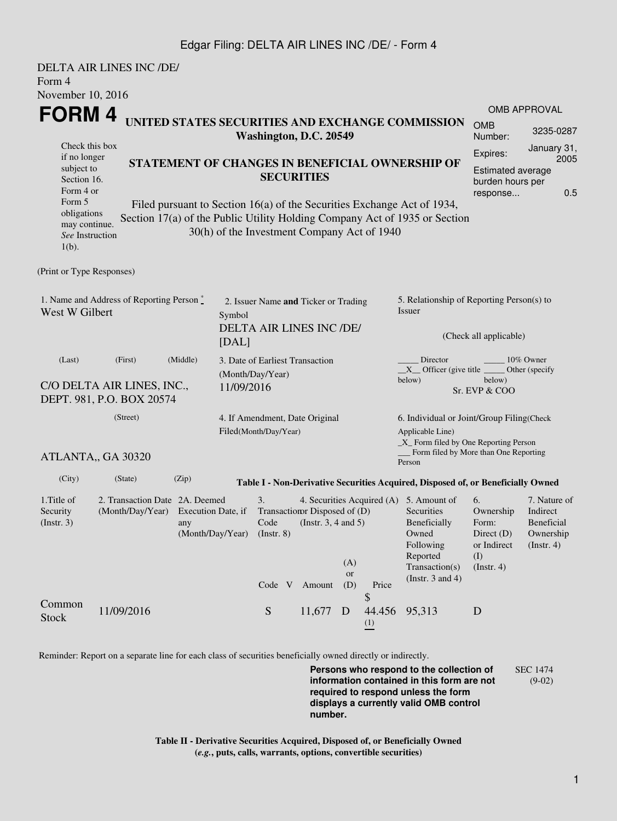## Edgar Filing: DELTA AIR LINES INC /DE/ - Form 4

|                                                                                                                                                                                                                                                                                                                                                                                                                                   | DELTA AIR LINES INC /DE/                                           |                           |            |                                                                  |                                                                   |                         |                                                                                                    |                                                                                                                                                    |                                                                               |                                                                                |  |
|-----------------------------------------------------------------------------------------------------------------------------------------------------------------------------------------------------------------------------------------------------------------------------------------------------------------------------------------------------------------------------------------------------------------------------------|--------------------------------------------------------------------|---------------------------|------------|------------------------------------------------------------------|-------------------------------------------------------------------|-------------------------|----------------------------------------------------------------------------------------------------|----------------------------------------------------------------------------------------------------------------------------------------------------|-------------------------------------------------------------------------------|--------------------------------------------------------------------------------|--|
| Form 4                                                                                                                                                                                                                                                                                                                                                                                                                            |                                                                    |                           |            |                                                                  |                                                                   |                         |                                                                                                    |                                                                                                                                                    |                                                                               |                                                                                |  |
| November 10, 2016                                                                                                                                                                                                                                                                                                                                                                                                                 |                                                                    |                           |            |                                                                  |                                                                   |                         |                                                                                                    |                                                                                                                                                    |                                                                               |                                                                                |  |
| FORM 4<br>UNITED STATES SECURITIES AND EXCHANGE COMMISSION<br>Washington, D.C. 20549                                                                                                                                                                                                                                                                                                                                              |                                                                    |                           |            |                                                                  |                                                                   |                         |                                                                                                    |                                                                                                                                                    | <b>OMB</b><br>Number:                                                         | <b>OMB APPROVAL</b><br>3235-0287                                               |  |
| Check this box<br>if no longer<br>STATEMENT OF CHANGES IN BENEFICIAL OWNERSHIP OF<br>subject to<br><b>SECURITIES</b><br>Section 16.<br>Form 4 or<br>Form 5<br>Filed pursuant to Section 16(a) of the Securities Exchange Act of 1934,<br>obligations<br>Section 17(a) of the Public Utility Holding Company Act of 1935 or Section<br>may continue.<br>30(h) of the Investment Company Act of 1940<br>See Instruction<br>$1(b)$ . |                                                                    |                           |            |                                                                  |                                                                   |                         | January 31,<br>Expires:<br>2005<br><b>Estimated average</b><br>burden hours per<br>0.5<br>response |                                                                                                                                                    |                                                                               |                                                                                |  |
| (Print or Type Responses)                                                                                                                                                                                                                                                                                                                                                                                                         |                                                                    |                           |            |                                                                  |                                                                   |                         |                                                                                                    |                                                                                                                                                    |                                                                               |                                                                                |  |
| 1. Name and Address of Reporting Person *<br>West W Gilbert<br>Symbol<br>[DAL]                                                                                                                                                                                                                                                                                                                                                    |                                                                    |                           |            | 2. Issuer Name and Ticker or Trading<br>DELTA AIR LINES INC /DE/ |                                                                   |                         |                                                                                                    | 5. Relationship of Reporting Person(s) to<br>Issuer<br>(Check all applicable)                                                                      |                                                                               |                                                                                |  |
| (Last)                                                                                                                                                                                                                                                                                                                                                                                                                            | (First)<br>C/O DELTA AIR LINES, INC.,<br>DEPT. 981, P.O. BOX 20574 | (Middle)                  | 11/09/2016 | 3. Date of Earliest Transaction<br>(Month/Day/Year)              |                                                                   |                         |                                                                                                    | Director<br>$X$ Officer (give title $\overline{\phantom{a}}$<br>below)                                                                             | below)<br>Sr. EVP & COO                                                       | 10% Owner<br>Other (specify                                                    |  |
| (Street)                                                                                                                                                                                                                                                                                                                                                                                                                          |                                                                    |                           |            | 4. If Amendment, Date Original<br>Filed(Month/Day/Year)          |                                                                   |                         |                                                                                                    | 6. Individual or Joint/Group Filing(Check<br>Applicable Line)<br>$\_X$ Form filed by One Reporting Person                                          |                                                                               |                                                                                |  |
|                                                                                                                                                                                                                                                                                                                                                                                                                                   | ATLANTA,, GA 30320                                                 |                           |            |                                                                  |                                                                   |                         |                                                                                                    | Form filed by More than One Reporting<br>Person                                                                                                    |                                                                               |                                                                                |  |
| (City)                                                                                                                                                                                                                                                                                                                                                                                                                            | (State)                                                            | (Zip)                     |            |                                                                  |                                                                   |                         |                                                                                                    | Table I - Non-Derivative Securities Acquired, Disposed of, or Beneficially Owned                                                                   |                                                                               |                                                                                |  |
| 1. Title of<br>Security<br>(Insert. 3)                                                                                                                                                                                                                                                                                                                                                                                            | 2. Transaction Date 2A. Deemed<br>(Month/Day/Year)                 | Execution Date, if<br>any |            | 3.<br>Code<br>(Month/Day/Year) (Instr. 8)<br>Code V              | Transaction Disposed of (D)<br>(Instr. $3, 4$ and $5$ )<br>Amount | (A)<br><b>or</b><br>(D) | Price                                                                                              | 4. Securities Acquired (A) 5. Amount of<br>Securities<br>Beneficially<br>Owned<br>Following<br>Reported<br>Transaction(s)<br>(Instr. $3$ and $4$ ) | 6.<br>Ownership<br>Form:<br>Direct $(D)$<br>or Indirect<br>(I)<br>(Insert. 4) | 7. Nature of<br>Indirect<br><b>Beneficial</b><br>Ownership<br>$($ Instr. 4 $)$ |  |
| Common<br><b>Stock</b>                                                                                                                                                                                                                                                                                                                                                                                                            | 11/09/2016                                                         |                           |            | ${\mathbf S}$                                                    | 11,677                                                            | D                       | S<br>44.456<br>$\frac{(1)}{2}$                                                                     | 95,313                                                                                                                                             | D                                                                             |                                                                                |  |

Reminder: Report on a separate line for each class of securities beneficially owned directly or indirectly.

**Persons who respond to the collection of information contained in this form are not required to respond unless the form displays a currently valid OMB control number.** SEC 1474 (9-02)

**Table II - Derivative Securities Acquired, Disposed of, or Beneficially Owned (***e.g.***, puts, calls, warrants, options, convertible securities)**